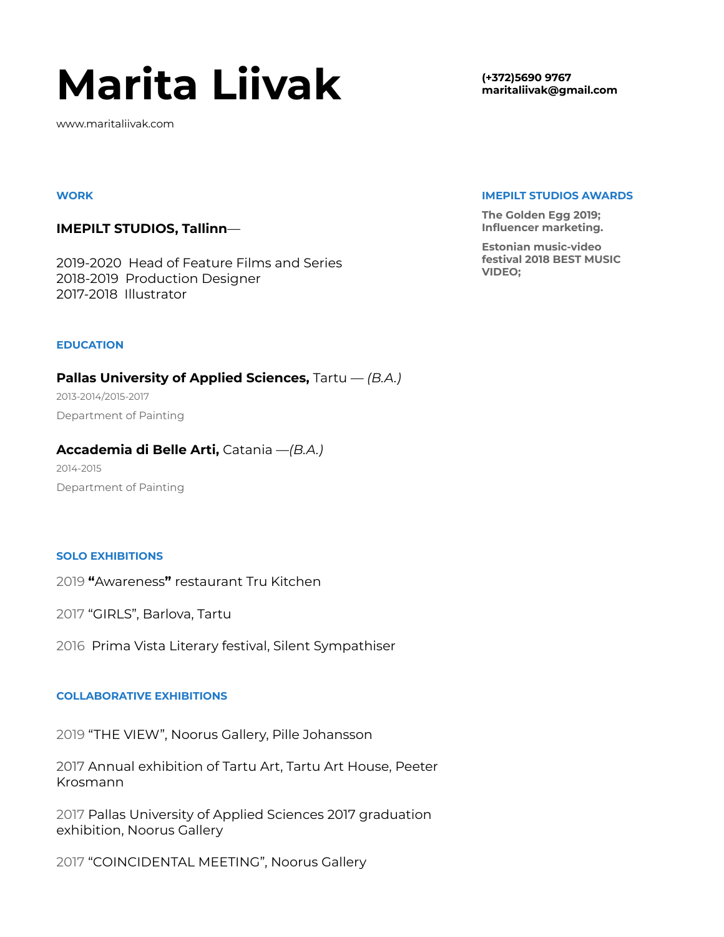# **Marita Liivak**

www.maritaliivak.com

#### **WORK**

## **IMEPILT STUDIOS, Tallinn**—

2019-2020 Head of Feature Films and Series 2018-2019 Production Designer 2017-2018 Illustrator

#### **EDUCATION**

**Pallas University of Applied Sciences,** Tartu — *(B.A.)* 2013-2014/2015-2017 Department of Painting

## **Accademia di Belle Arti,** Catania —*(B.A.)*

2014-2015 Department of Painting

### **SOLO EXHIBITIONS**

2019 **"**Awareness**"** restaurant Tru Kitchen

2017 "GIRLS", Barlova, Tartu

2016 Prima Vista Literary festival, Silent Sympathiser

### **COLLABORATIVE EXHIBITIONS**

2019 "THE VIEW", Noorus Gallery, Pille Johansson

2017 Annual exhibition of Tartu Art, Tartu Art House, Peeter Krosmann

2017 Pallas University of Applied Sciences 2017 graduation exhibition, Noorus Gallery

2017 "COINCIDENTAL MEETING", Noorus Gallery

**(+372)5690 9767 maritaliivak@gmail.com**

#### **IMEPILT STUDIOS AWARDS**

**The Golden Egg 2019; Influencer marketing.**

**Estonian music-video festival 2018 BEST MUSIC VIDEO;**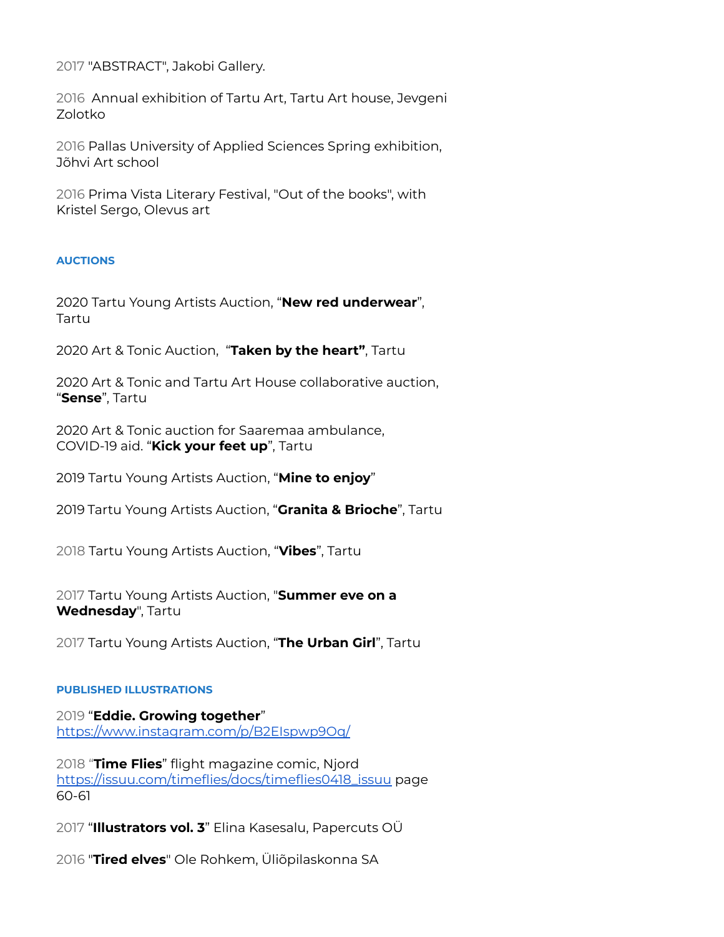2017 "ABSTRACT", Jakobi Gallery.

2016 Annual exhibition of Tartu Art, Tartu Art house, Jevgeni Zolotko

2016 Pallas University of Applied Sciences Spring exhibition, Jõhvi Art school

2016 Prima Vista Literary Festival, "Out of the books", with Kristel Sergo, Olevus art

## **AUCTIONS**

2020 Tartu Young Artists Auction, "**New red underwear**", Tartu

2020 Art & Tonic Auction, "**Taken by the heart"**, Tartu

2020 Art & Tonic and Tartu Art House collaborative auction, "**Sense**", Tartu

2020 Art & Tonic auction for Saaremaa ambulance, COVID-19 aid. "**Kick your feet up**", Tartu

2019 Tartu Young Artists Auction, "**Mine to enjoy**"

2019 Tartu Young Artists Auction, "**Granita & Brioche**", Tartu

2018 Tartu Young Artists Auction, "**Vibes**", Tartu

2017 Tartu Young Artists Auction, "**Summer eve on a Wednesday**", Tartu

2017 Tartu Young Artists Auction, "**The Urban Girl**", Tartu

## **PUBLISHED ILLUSTRATIONS**

2019 "**Eddie. Growing together**" <https://www.instagram.com/p/B2EIspwp9Oq/>

2018 "**Time Flies**" flight magazine comic, Njord [https://issuu.com/timeflies/docs/timeflies0418\\_issuu](https://issuu.com/timeflies/docs/timeflies0418_issuu) page 60-61

2017 "**Illustrators vol. 3**" Elina Kasesalu, Papercuts OÜ

2016 "**Tired elves**" Ole Rohkem, Üliõpilaskonna SA